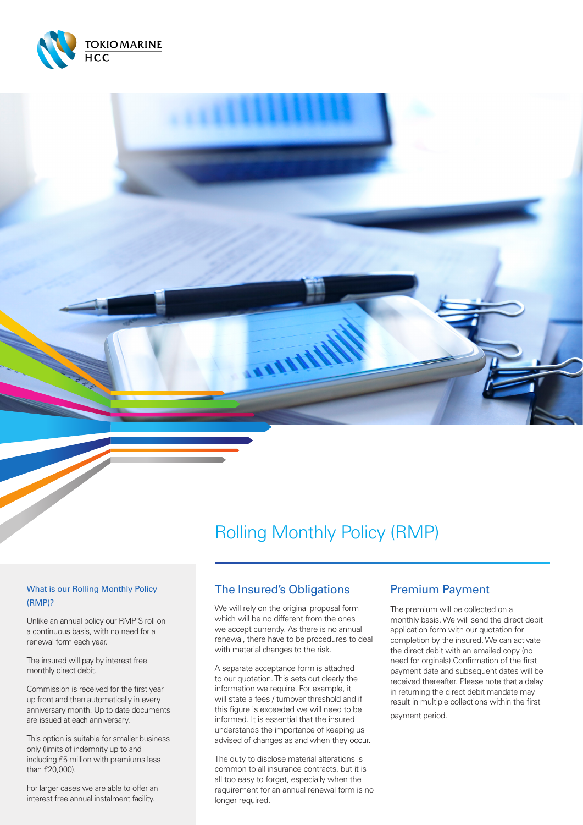

# Rolling Monthly Policy (RMP)

#### What is our Rolling Monthly Policy (RMP)?

Unlike an annual policy our RMP'S roll on a continuous basis, with no need for a renewal form each year.

The insured will pay by interest free monthly direct debit.

Commission is received for the first year up front and then automatically in every anniversary month. Up to date documents are issued at each anniversary.

This option is suitable for smaller business only (limits of indemnity up to and including £5 million with premiums less than £20,000).

For larger cases we are able to offer an interest free annual instalment facility.

# The Insured's Obligations

**ALLALAY** 

We will rely on the original proposal form which will be no different from the ones we accept currently. As there is no annual renewal, there have to be procedures to deal with material changes to the risk.

A separate acceptance form is attached to our quotation. This sets out clearly the information we require. For example, it will state a fees / turnover threshold and if this figure is exceeded we will need to be informed. It is essential that the insured understands the importance of keeping us advised of changes as and when they occur.

The duty to disclose material alterations is common to all insurance contracts, but it is all too easy to forget, especially when the requirement for an annual renewal form is no longer required.

## Premium Payment

The premium will be collected on a monthly basis. We will send the direct debit application form with our quotation for completion by the insured. We can activate the direct debit with an emailed copy (no need for orginals).Confirmation of the first payment date and subsequent dates will be received thereafter. Please note that a delay in returning the direct debit mandate may result in multiple collections within the first payment period.